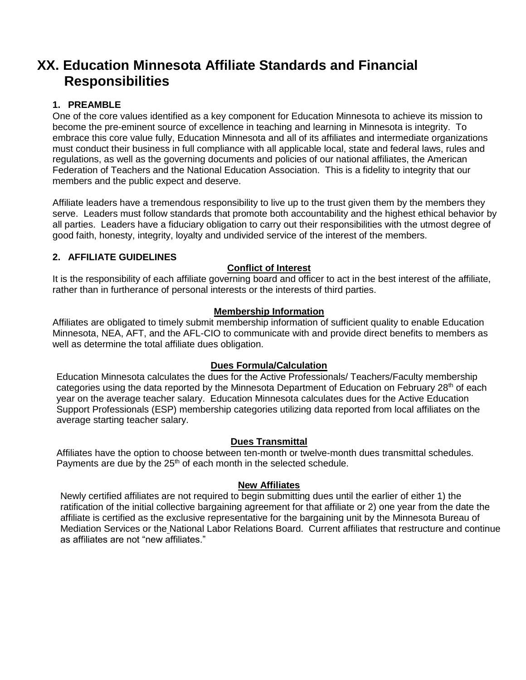# **XX. Education Minnesota Affiliate Standards and Financial Responsibilities**

# **1. PREAMBLE**

One of the core values identified as a key component for Education Minnesota to achieve its mission to become the pre-eminent source of excellence in teaching and learning in Minnesota is integrity. To embrace this core value fully, Education Minnesota and all of its affiliates and intermediate organizations must conduct their business in full compliance with all applicable local, state and federal laws, rules and regulations, as well as the governing documents and policies of our national affiliates, the American Federation of Teachers and the National Education Association. This is a fidelity to integrity that our members and the public expect and deserve.

Affiliate leaders have a tremendous responsibility to live up to the trust given them by the members they serve. Leaders must follow standards that promote both accountability and the highest ethical behavior by all parties. Leaders have a fiduciary obligation to carry out their responsibilities with the utmost degree of good faith, honesty, integrity, loyalty and undivided service of the interest of the members.

# **2. AFFILIATE GUIDELINES**

# **Conflict of Interest**

It is the responsibility of each affiliate governing board and officer to act in the best interest of the affiliate. rather than in furtherance of personal interests or the interests of third parties.

## **Membership Information**

Affiliates are obligated to timely submit membership information of sufficient quality to enable Education Minnesota, NEA, AFT, and the AFL-CIO to communicate with and provide direct benefits to members as well as determine the total affiliate dues obligation.

# **Dues Formula/Calculation**

Education Minnesota calculates the dues for the Active Professionals/ Teachers/Faculty membership categories using the data reported by the Minnesota Department of Education on February 28<sup>th</sup> of each year on the average teacher salary. Education Minnesota calculates dues for the Active Education Support Professionals (ESP) membership categories utilizing data reported from local affiliates on the average starting teacher salary.

## **Dues Transmittal**

Affiliates have the option to choose between ten-month or twelve-month dues transmittal schedules. Payments are due by the 25<sup>th</sup> of each month in the selected schedule.

# **New Affiliates**

Newly certified affiliates are not required to begin submitting dues until the earlier of either 1) the ratification of the initial collective bargaining agreement for that affiliate or 2) one year from the date the affiliate is certified as the exclusive representative for the bargaining unit by the Minnesota Bureau of Mediation Services or the National Labor Relations Board. Current affiliates that restructure and continue as affiliates are not "new affiliates."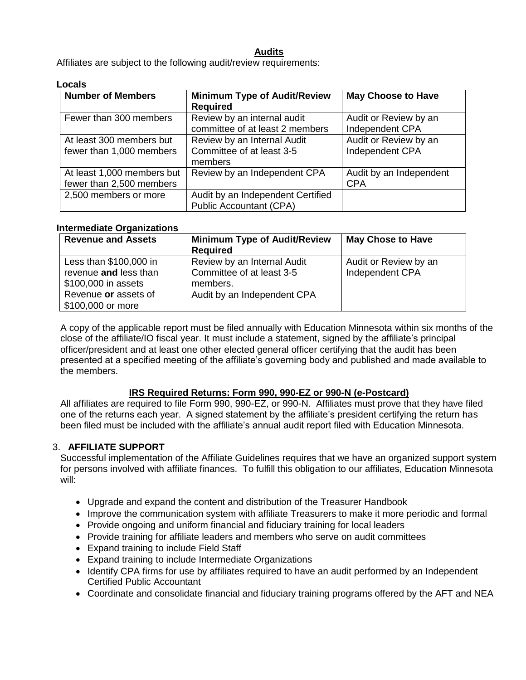## **Audits**

Affiliates are subject to the following audit/review requirements:

#### **Locals**

| <b>Number of Members</b>                               | <b>Minimum Type of Audit/Review</b><br><b>Required</b>              | <b>May Choose to Have</b>                |
|--------------------------------------------------------|---------------------------------------------------------------------|------------------------------------------|
| Fewer than 300 members                                 | Review by an internal audit<br>committee of at least 2 members      | Audit or Review by an<br>Independent CPA |
| At least 300 members but<br>fewer than 1,000 members   | Review by an Internal Audit<br>Committee of at least 3-5<br>members | Audit or Review by an<br>Independent CPA |
| At least 1,000 members but<br>fewer than 2,500 members | Review by an Independent CPA                                        | Audit by an Independent<br><b>CPA</b>    |
| 2,500 members or more                                  | Audit by an Independent Certified<br><b>Public Accountant (CPA)</b> |                                          |

#### **Intermediate Organizations**

| <b>Revenue and Assets</b> | <b>Minimum Type of Audit/Review</b> | <b>May Chose to Have</b> |
|---------------------------|-------------------------------------|--------------------------|
|                           | <b>Required</b>                     |                          |
| Less than \$100,000 in    | Review by an Internal Audit         | Audit or Review by an    |
| revenue and less than     | Committee of at least 3-5           | Independent CPA          |
| \$100,000 in assets       | members.                            |                          |
| Revenue or assets of      | Audit by an Independent CPA         |                          |
| \$100,000 or more         |                                     |                          |

A copy of the applicable report must be filed annually with Education Minnesota within six months of the close of the affiliate/IO fiscal year. It must include a statement, signed by the affiliate's principal officer/president and at least one other elected general officer certifying that the audit has been presented at a specified meeting of the affiliate's governing body and published and made available to the members.

## **IRS Required Returns: Form 990, 990-EZ or 990-N (e-Postcard)**

All affiliates are required to file Form 990, 990-EZ, or 990-N. Affiliates must prove that they have filed one of the returns each year. A signed statement by the affiliate's president certifying the return has been filed must be included with the affiliate's annual audit report filed with Education Minnesota.

## 3. **AFFILIATE SUPPORT**

Successful implementation of the Affiliate Guidelines requires that we have an organized support system for persons involved with affiliate finances. To fulfill this obligation to our affiliates, Education Minnesota will:

- Upgrade and expand the content and distribution of the Treasurer Handbook
- Improve the communication system with affiliate Treasurers to make it more periodic and formal
- Provide ongoing and uniform financial and fiduciary training for local leaders
- Provide training for affiliate leaders and members who serve on audit committees
- Expand training to include Field Staff
- Expand training to include Intermediate Organizations
- Identify CPA firms for use by affiliates required to have an audit performed by an Independent Certified Public Accountant
- Coordinate and consolidate financial and fiduciary training programs offered by the AFT and NEA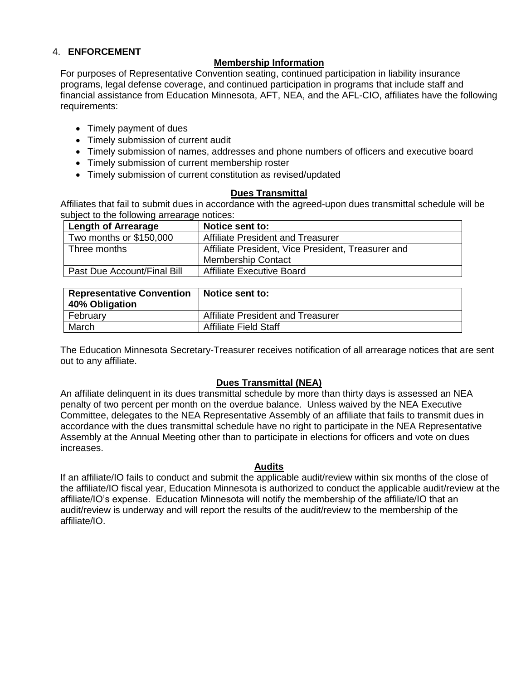## 4. **ENFORCEMENT**

#### **Membership Information**

For purposes of Representative Convention seating, continued participation in liability insurance programs, legal defense coverage, and continued participation in programs that include staff and financial assistance from Education Minnesota, AFT, NEA, and the AFL-CIO, affiliates have the following requirements:

- Timely payment of dues
- Timely submission of current audit
- Timely submission of names, addresses and phone numbers of officers and executive board
- Timely submission of current membership roster
- Timely submission of current constitution as revised/updated

#### **Dues Transmittal**

Affiliates that fail to submit dues in accordance with the agreed-upon dues transmittal schedule will be subject to the following arrearage notices:

| <b>Length of Arrearage</b>  | Notice sent to:                                    |
|-----------------------------|----------------------------------------------------|
| Two months or \$150,000     | Affiliate President and Treasurer                  |
| Three months                | Affiliate President, Vice President, Treasurer and |
|                             | <b>Membership Contact</b>                          |
| Past Due Account/Final Bill | <b>Affiliate Executive Board</b>                   |

| <b>Representative Convention</b><br>40% Obligation | ∣ Notice sent to:                 |
|----------------------------------------------------|-----------------------------------|
| February                                           | Affiliate President and Treasurer |
| March                                              | <b>Affiliate Field Staff</b>      |

The Education Minnesota Secretary-Treasurer receives notification of all arrearage notices that are sent out to any affiliate.

## **Dues Transmittal (NEA)**

An affiliate delinquent in its dues transmittal schedule by more than thirty days is assessed an NEA penalty of two percent per month on the overdue balance. Unless waived by the NEA Executive Committee, delegates to the NEA Representative Assembly of an affiliate that fails to transmit dues in accordance with the dues transmittal schedule have no right to participate in the NEA Representative Assembly at the Annual Meeting other than to participate in elections for officers and vote on dues increases.

#### **Audits**

If an affiliate/IO fails to conduct and submit the applicable audit/review within six months of the close of the affiliate/IO fiscal year, Education Minnesota is authorized to conduct the applicable audit/review at the affiliate/IO's expense. Education Minnesota will notify the membership of the affiliate/IO that an audit/review is underway and will report the results of the audit/review to the membership of the affiliate/IO.